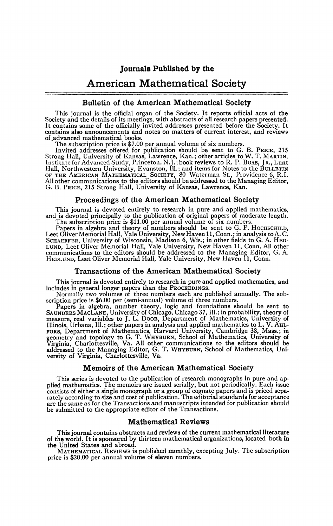# **Journals Published by the**

# American Mathematical Society

### Bulletin of the American Mathematical Society

This journal is the official organ of the Society. It reports official acts of the Society and the details of its meetings, with abstracts of all research papers presented. It contains some of the officially invited addresses presented before the Society. It contains also announcements and notes on matters of current interest, and reviews of ^advanced mathematical books.

The subscription price is \$7.00 per annual volume of six numbers.

Invited addresses offered for publication should be sent to G. B. PRICE, 215<br>Strong Hall, University of Kansas, Lawrence, Kan.; other articles to W. T. MARTIN,<br>Institute for Advanced Study, Princeton, N.J.; book reviews to G. B. PRICE, 215 Strong Hall, University of Kansas, Lawrence, Kan.

### Proceedings of the American Mathematical Society

This journal is devoted entirely to research in pure and applied mathematics, and is devoted principally to the publication of original papers of moderate length. The subscription price is \$11.00 per annual volume of six numbers.

Papers in algebra and theory of numbers should be sent to G. P. HOCHSCHILD,<br>Leet Oliver Memorial Hall, Yale University, New Haven 11, Conn.; in analysis to A.C.<br>SCHAEFFER, University of Wisconsin, Madison 6, Wis.; in other

### Transactions of the American Mathematical Society

This journal is devoted entirely to research in pure and applied mathematics, and includes in general longer papers than the PROCEEDINGS.

Normally two volumes of three numbers each are published annually. The subscription price is \$6.00 per (semi-annual) volume of three numbers.

Papers in algebra, number theory, logic and foundations should be sent to SAUNDERS MACLANE, University of Chicago, Chicago 37, Ill.; in probability, theory of measure, real variables to J. L. DOOB, Department of Mathematic FORS, Department of Mathematics, Harvard University, Cambridge 38, Mass.; in geometry and topology to G. T. WHYBURN, School of Mathematics, University of Virginia, Charlottesville, Va. All other communications to the edito

### Memoirs of the American Mathematical Society

This series is devoted to the publication of research monographs in pure and applied mathematics. The memoirs are issued serially, but not periodically. Each issue consists of either a single monograph or a group of cognate papers and is priced separately according to size and cost of publication. The editorial standards for acceptance are the same as for the Transactions and manuscripts intended for publication should be submitted to the appropriate editor of the Transactions.

### Mathematical Reviews

This journal contains abstracts and reviews of the current mathematical literature of the world. It is sponsored by thirteen mathematical organizations, located both in the United States and abroad.

MATHEMATICAL REVIEWS is published monthly, excepting July. The subscription price is \$20.00 per annual volume of eleven numbers.